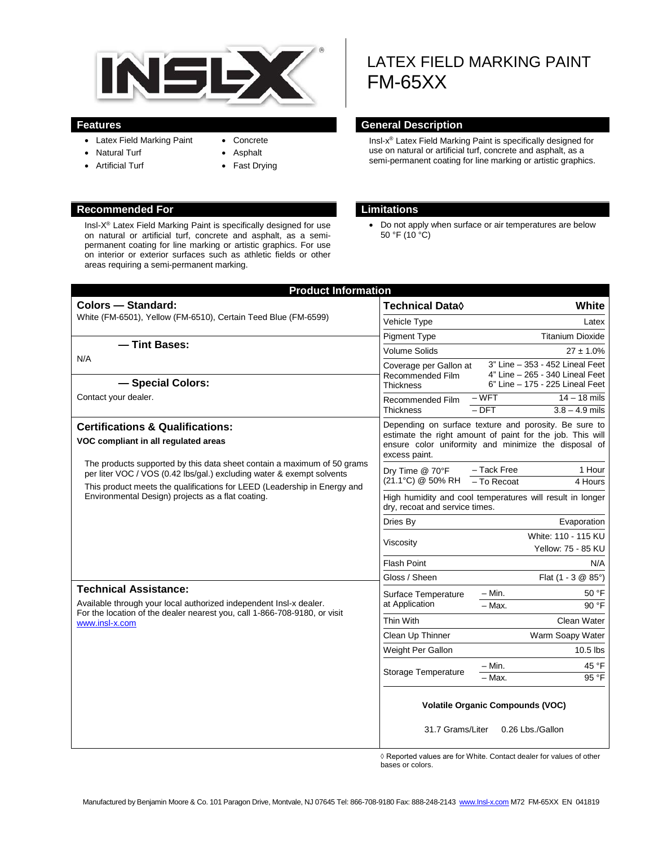

- Latex Field Marking Paint
- Natural Turf • Artificial Turf
- Concrete • Asphalt
	- Fast Drying

#### **Recommended For Limitations**

Insl-X® Latex Field Marking Paint is specifically designed for use on natural or artificial turf, concrete and asphalt, as a semipermanent coating for line marking or artistic graphics. For use on interior or exterior surfaces such as athletic fields or other areas requiring a semi-permanent marking.

# LATEX FIELD MARKING PAINT FM-65XX

#### **Features General Description**

Insl-x® Latex Field Marking Paint is specifically designed for use on natural or artificial turf, concrete and asphalt, as a semi-permanent coating for line marking or artistic graphics.

• Do not apply when surface or air temperatures are below 50 °F (10 °C)

| <b>Product Information</b>                                                                                                                                                                                                                                                                                                                                           |                                                                                                                                                                                             |                                                                                                       |
|----------------------------------------------------------------------------------------------------------------------------------------------------------------------------------------------------------------------------------------------------------------------------------------------------------------------------------------------------------------------|---------------------------------------------------------------------------------------------------------------------------------------------------------------------------------------------|-------------------------------------------------------------------------------------------------------|
| <b>Colors - Standard:</b>                                                                                                                                                                                                                                                                                                                                            | Technical Data $\Diamond$                                                                                                                                                                   | White                                                                                                 |
| White (FM-6501), Yellow (FM-6510), Certain Teed Blue (FM-6599)                                                                                                                                                                                                                                                                                                       | Vehicle Type                                                                                                                                                                                | Latex                                                                                                 |
|                                                                                                                                                                                                                                                                                                                                                                      | <b>Pigment Type</b>                                                                                                                                                                         | <b>Titanium Dioxide</b>                                                                               |
| - Tint Bases:                                                                                                                                                                                                                                                                                                                                                        | <b>Volume Solids</b>                                                                                                                                                                        | $27 \pm 1.0\%$                                                                                        |
| N/A<br>- Special Colors:                                                                                                                                                                                                                                                                                                                                             | Coverage per Gallon at<br>Recommended Film<br><b>Thickness</b>                                                                                                                              | 3" Line - 353 - 452 Lineal Feet<br>4" Line - 265 - 340 Lineal Feet<br>6" Line - 175 - 225 Lineal Feet |
| Contact your dealer.                                                                                                                                                                                                                                                                                                                                                 | Recommended Film<br><b>Thickness</b>                                                                                                                                                        | $-WFT$<br>$14 - 18$ mils                                                                              |
|                                                                                                                                                                                                                                                                                                                                                                      |                                                                                                                                                                                             | $3.8 - 4.9$ mils<br>$-$ DFT                                                                           |
| <b>Certifications &amp; Qualifications:</b><br>VOC compliant in all regulated areas                                                                                                                                                                                                                                                                                  | Depending on surface texture and porosity. Be sure to<br>estimate the right amount of paint for the job. This will<br>ensure color uniformity and minimize the disposal of<br>excess paint. |                                                                                                       |
| The products supported by this data sheet contain a maximum of 50 grams<br>Dry Time @ 70°F<br>per liter VOC / VOS (0.42 lbs/gal.) excluding water & exempt solvents<br>This product meets the qualifications for LEED (Leadership in Energy and<br>Environmental Design) projects as a flat coating.<br>Dries By<br>Viscosity<br><b>Flash Point</b><br>Gloss / Sheen |                                                                                                                                                                                             | - Tack Free<br>1 Hour                                                                                 |
|                                                                                                                                                                                                                                                                                                                                                                      | (21.1°C) @ 50% RH                                                                                                                                                                           | - To Recoat<br>4 Hours                                                                                |
|                                                                                                                                                                                                                                                                                                                                                                      | High humidity and cool temperatures will result in longer<br>dry, recoat and service times.                                                                                                 |                                                                                                       |
|                                                                                                                                                                                                                                                                                                                                                                      |                                                                                                                                                                                             | Evaporation                                                                                           |
|                                                                                                                                                                                                                                                                                                                                                                      |                                                                                                                                                                                             | White: 110 - 115 KU<br><b>Yellow: 75 - 85 KU</b>                                                      |
|                                                                                                                                                                                                                                                                                                                                                                      |                                                                                                                                                                                             | N/A                                                                                                   |
|                                                                                                                                                                                                                                                                                                                                                                      |                                                                                                                                                                                             | Flat $(1 - 3 \& 85^{\circ})$                                                                          |
| <b>Technical Assistance:</b><br>Available through your local authorized independent Insl-x dealer.<br>For the location of the dealer nearest you, call 1-866-708-9180, or visit<br>www.insl-x.com                                                                                                                                                                    | Surface Temperature<br>at Application                                                                                                                                                       | $- Min.$<br>50 °F<br>$-$ Max.<br>$90°$ F                                                              |
|                                                                                                                                                                                                                                                                                                                                                                      | Thin With                                                                                                                                                                                   |                                                                                                       |
|                                                                                                                                                                                                                                                                                                                                                                      |                                                                                                                                                                                             | Clean Water                                                                                           |
|                                                                                                                                                                                                                                                                                                                                                                      | Clean Up Thinner                                                                                                                                                                            | Warm Soapy Water                                                                                      |
|                                                                                                                                                                                                                                                                                                                                                                      | Weight Per Gallon                                                                                                                                                                           | $10.5$ lbs                                                                                            |
|                                                                                                                                                                                                                                                                                                                                                                      | <b>Storage Temperature</b>                                                                                                                                                                  | $-$ Min.<br>45 °F<br>95 °F<br>- Max.                                                                  |
|                                                                                                                                                                                                                                                                                                                                                                      |                                                                                                                                                                                             |                                                                                                       |
|                                                                                                                                                                                                                                                                                                                                                                      | 31.7 Grams/Liter                                                                                                                                                                            | <b>Volatile Organic Compounds (VOC)</b><br>0.26 Lbs./Gallon                                           |

◊ Reported values are for White. Contact dealer for values of other bases or colors.